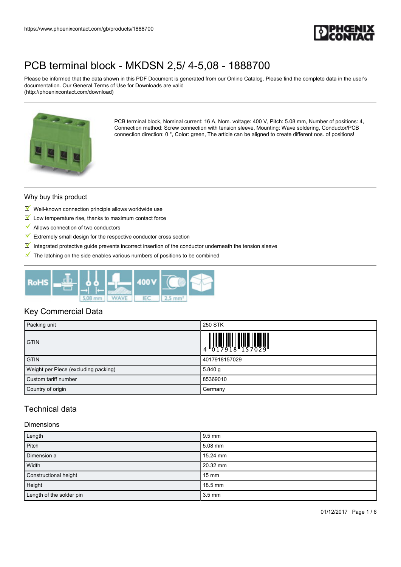

Please be informed that the data shown in this PDF Document is generated from our Online Catalog. Please find the complete data in the user's documentation. Our General Terms of Use for Downloads are valid (http://phoenixcontact.com/download)



PCB terminal block, Nominal current: 16 A, Nom. voltage: 400 V, Pitch: 5.08 mm, Number of positions: 4, Connection method: Screw connection with tension sleeve, Mounting: Wave soldering, Conductor/PCB connection direction: 0 °, Color: green, The article can be aligned to create different nos. of positions!

#### Why buy this product

- $\blacksquare$  Well-known connection principle allows worldwide use
- $\blacksquare$  Low temperature rise, thanks to maximum contact force
- Allows connection of two conductors
- $\blacksquare$  Extremely small design for the respective conductor cross section
- Integrated protective guide prevents incorrect insertion of the conductor underneath the tension sleeve
- $\blacksquare$  The latching on the side enables various numbers of positions to be combined



## Key Commercial Data

| Packing unit                         | 250 STK                                                                                                       |
|--------------------------------------|---------------------------------------------------------------------------------------------------------------|
| <b>GTIN</b>                          | $\begin{array}{c} 1 & 0 & 0 & 0 & 0 \\ 0 & 0 & 1 & 7 & 9 & 1 & 8 \\ 0 & 0 & 1 & 7 & 9 & 1 & 8 \\ \end{array}$ |
| <b>GTIN</b>                          | 4017918157029                                                                                                 |
| Weight per Piece (excluding packing) | 5.840q                                                                                                        |
| Custom tariff number                 | 85369010                                                                                                      |
| Country of origin                    | Germany                                                                                                       |

## Technical data

#### Dimensions

| Length                   | $9.5 \text{ mm}$ |
|--------------------------|------------------|
| Pitch                    | $5.08$ mm        |
| Dimension a              | 15.24 mm         |
| Width                    | 20.32 mm         |
| Constructional height    | $15 \text{ mm}$  |
| Height                   | $18.5$ mm        |
| Length of the solder pin | $3.5 \text{ mm}$ |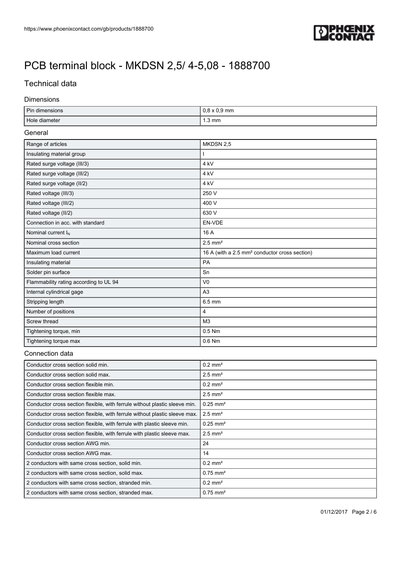

## Technical data

#### Dimensions

| Pin dimensions                                                             | $0,8 \times 0,9$ mm                                       |  |
|----------------------------------------------------------------------------|-----------------------------------------------------------|--|
| Hole diameter                                                              | $1.3 \text{ mm}$                                          |  |
| General                                                                    |                                                           |  |
| Range of articles                                                          | MKDSN 2,5                                                 |  |
| Insulating material group                                                  |                                                           |  |
| Rated surge voltage (III/3)                                                | 4 kV                                                      |  |
| Rated surge voltage (III/2)                                                | 4 kV                                                      |  |
| Rated surge voltage (II/2)                                                 | 4 kV                                                      |  |
| Rated voltage (III/3)                                                      | 250 V                                                     |  |
| Rated voltage (III/2)                                                      | 400 V                                                     |  |
| Rated voltage (II/2)                                                       | 630 V                                                     |  |
| Connection in acc. with standard                                           | EN-VDE                                                    |  |
| Nominal current I <sub>N</sub>                                             | 16 A                                                      |  |
| Nominal cross section                                                      | $2.5$ mm <sup>2</sup>                                     |  |
| Maximum load current                                                       | 16 A (with a 2.5 mm <sup>2</sup> conductor cross section) |  |
| Insulating material                                                        | PA                                                        |  |
| Solder pin surface                                                         | Sn                                                        |  |
| Flammability rating according to UL 94                                     | V <sub>0</sub>                                            |  |
| Internal cylindrical gage                                                  | A <sub>3</sub>                                            |  |
| Stripping length                                                           | 6.5 mm                                                    |  |
| Number of positions                                                        | 4                                                         |  |
| Screw thread                                                               | M <sub>3</sub>                                            |  |
| Tightening torque, min                                                     | 0.5 Nm                                                    |  |
| Tightening torque max                                                      | 0.6 Nm                                                    |  |
| Connection data                                                            |                                                           |  |
| Conductor cross section solid min.                                         | $0.2$ mm <sup>2</sup>                                     |  |
| Conductor cross section solid max.                                         | $2.5$ mm <sup>2</sup>                                     |  |
| Conductor cross section flexible min.                                      | $0.2 \text{ mm}^2$                                        |  |
| Conductor cross section flexible max.                                      | $2.5$ mm <sup>2</sup>                                     |  |
| Conductor cross section flexible, with ferrule without plastic sleeve min. | $0.25$ mm <sup>2</sup>                                    |  |
| Conductor cross soction florible, with ferrule without plactic cleave move | $125 \text{ mm}^2$                                        |  |

| Conductor cross section flexible, with ferrule without plastic sleeve max. | $2.5$ mm <sup>2</sup>  |
|----------------------------------------------------------------------------|------------------------|
| Conductor cross section flexible, with ferrule with plastic sleeve min.    | $0.25$ mm <sup>2</sup> |
| Conductor cross section flexible, with ferrule with plastic sleeve max.    | $2.5$ mm <sup>2</sup>  |
| Conductor cross section AWG min.                                           | 24                     |
| Conductor cross section AWG max.                                           | 14                     |
| 2 conductors with same cross section, solid min.                           | $0.2 \text{ mm}^2$     |
| 2 conductors with same cross section, solid max.                           | $0.75$ mm <sup>2</sup> |
| 2 conductors with same cross section, stranded min.                        | $0.2 \text{ mm}^2$     |
| 2 conductors with same cross section, stranded max.                        | $0.75$ mm <sup>2</sup> |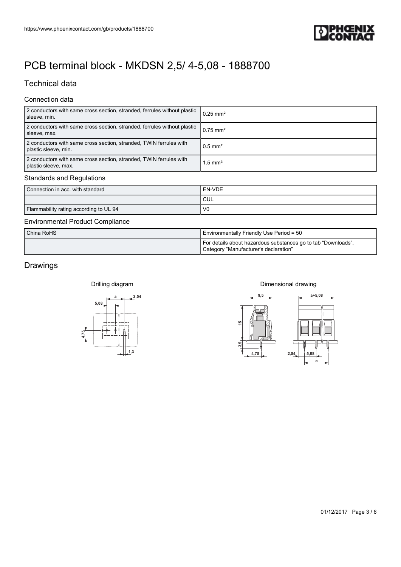

## Technical data

### Connection data

| https://www.phoenixcontact.com/gb/products/1888700                                         |                                                                                                        |
|--------------------------------------------------------------------------------------------|--------------------------------------------------------------------------------------------------------|
|                                                                                            | <b>EDPHŒNIX</b><br>LONTACT                                                                             |
| PCB terminal block - MKDSN 2,5/ 4-5,08 - 1888700                                           |                                                                                                        |
| <b>Technical data</b>                                                                      |                                                                                                        |
| Connection data                                                                            |                                                                                                        |
| 2 conductors with same cross section, stranded, ferrules without plastic                   | $0.25$ mm <sup>2</sup>                                                                                 |
| sleeve, min.<br>2 conductors with same cross section, stranded, ferrules without plastic   | $0.75$ mm <sup>2</sup>                                                                                 |
| sleeve, max.<br>2 conductors with same cross section, stranded, TWIN ferrules with         | $0.5$ mm <sup>2</sup>                                                                                  |
| plastic sleeve, min.<br>2 conductors with same cross section, stranded, TWIN ferrules with | $1.5$ mm <sup>2</sup>                                                                                  |
| plastic sleeve, max.<br><b>Standards and Regulations</b>                                   |                                                                                                        |
| Connection in acc. with standard                                                           | ${\sf EN\text{-}VDE}$                                                                                  |
|                                                                                            | $\ensuremath{\mathsf{CUL}}$                                                                            |
| Flammability rating according to UL 94                                                     | ${\sf V0}$                                                                                             |
| <b>Environmental Product Compliance</b>                                                    |                                                                                                        |
| China RoHS                                                                                 | Environmentally Friendly Use Period = 50                                                               |
|                                                                                            | For details about hazardous substances go to tab "Downloads",<br>Category "Manufacturer's declaration" |
| Drawings                                                                                   |                                                                                                        |
|                                                                                            |                                                                                                        |
| Drilling diagram                                                                           | Dimensional drawing                                                                                    |
| 2,54<br>5,08                                                                               | 9,5<br>$a + 5,08$                                                                                      |
|                                                                                            |                                                                                                        |
|                                                                                            | $\overline{5}$                                                                                         |
| 4,75                                                                                       |                                                                                                        |
|                                                                                            | 3,5                                                                                                    |
| $+1$ <sup>1,3</sup>                                                                        | 4,75<br>2,54<br>5,08                                                                                   |
|                                                                                            | a                                                                                                      |
|                                                                                            |                                                                                                        |
|                                                                                            |                                                                                                        |
|                                                                                            |                                                                                                        |
|                                                                                            |                                                                                                        |
|                                                                                            |                                                                                                        |
|                                                                                            |                                                                                                        |
|                                                                                            |                                                                                                        |
|                                                                                            |                                                                                                        |
|                                                                                            |                                                                                                        |
|                                                                                            |                                                                                                        |

### Standards and Regulations

| Connection in acc. with standard       | EN-VDE         |
|----------------------------------------|----------------|
|                                        | CUL            |
| Flammability rating according to UL 94 | V <sub>0</sub> |

#### Environmental Product Compliance

| China RoHS | Environmentally Friendly Use Period = 50                                                               |
|------------|--------------------------------------------------------------------------------------------------------|
|            | For details about hazardous substances go to tab "Downloads",<br>Category "Manufacturer's declaration" |

## Drawings

Drilling diagram



### Dimensional drawing

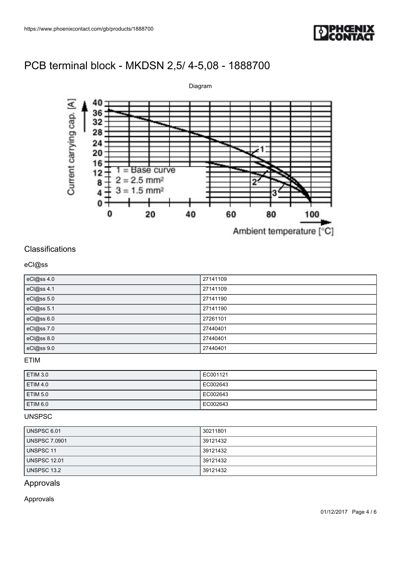



## **Classifications**

### eCl@ss

| eCl@ss 4.0 | 27141109 |
|------------|----------|
| eCl@ss 4.1 | 27141109 |
| eCl@ss 5.0 | 27141190 |
| eCl@ss 5.1 | 27141190 |
| eCl@ss 6.0 | 27261101 |
| eCl@ss 7.0 | 27440401 |
| eCl@ss 8.0 | 27440401 |
| eCl@ss 9.0 | 27440401 |

### ETIM

| ETIM 3.0        | EC001121  |
|-----------------|-----------|
| <b>ETIM 4.0</b> | EC002643  |
| ETIM 5.0        | LEC002643 |
| ETIM 6.0        | EC002643  |

### UNSPSC

| UNSPSC 6.01          | 30211801 |
|----------------------|----------|
| <b>UNSPSC 7.0901</b> | 39121432 |
| UNSPSC 11            | 39121432 |
| <b>UNSPSC 12.01</b>  | 39121432 |
| UNSPSC 13.2          | 39121432 |

## Approvals

Approvals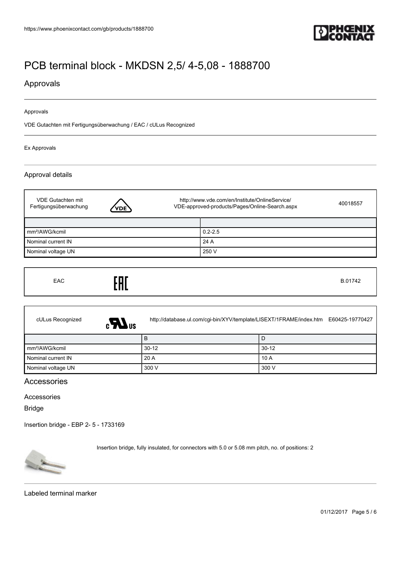

## Approvals

#### Approvals

VDE Gutachten mit Fertigungsüberwachung / EAC / cULus Recognized

Ex Approvals

### Approval details

| VDE Gutachten mit<br>Fertigungsüberwachung | <b>VDE</b> | http://www.vde.com/en/Institute/OnlineService/<br>VDE-approved-products/Pages/Online-Search.aspx | 40018557 |
|--------------------------------------------|------------|--------------------------------------------------------------------------------------------------|----------|
|                                            |            |                                                                                                  |          |
| mm <sup>2</sup> /AWG/kcmil                 |            | $0.2 - 2.5$                                                                                      |          |
| Nominal current IN                         |            | 24 A                                                                                             |          |
| Nominal voltage UN                         |            | 250 V                                                                                            |          |

| EAC | EAC | B.01742 |
|-----|-----|---------|
|-----|-----|---------|

| cULus Recognized<br>$\epsilon$ <sub>Us</sub> |         | http://database.ul.com/cgi-bin/XYV/template/LISEXT/1FRAME/index.htm E60425-19770427 |
|----------------------------------------------|---------|-------------------------------------------------------------------------------------|
|                                              | в       | l D                                                                                 |
| mm <sup>2</sup> /AWG/kcmil                   | $30-12$ | 30-12                                                                               |
| Nominal current IN                           | 20 A    | l 10 A                                                                              |
| Nominal voltage UN                           | 300 V   | 300 V                                                                               |

## Accessories

#### Accessories

Bridge

[Insertion bridge - EBP 2- 5 - 1733169](https://www.phoenixcontact.com/gb/products/1733169)



Insertion bridge, fully insulated, for connectors with 5.0 or 5.08 mm pitch, no. of positions: 2

Labeled terminal marker